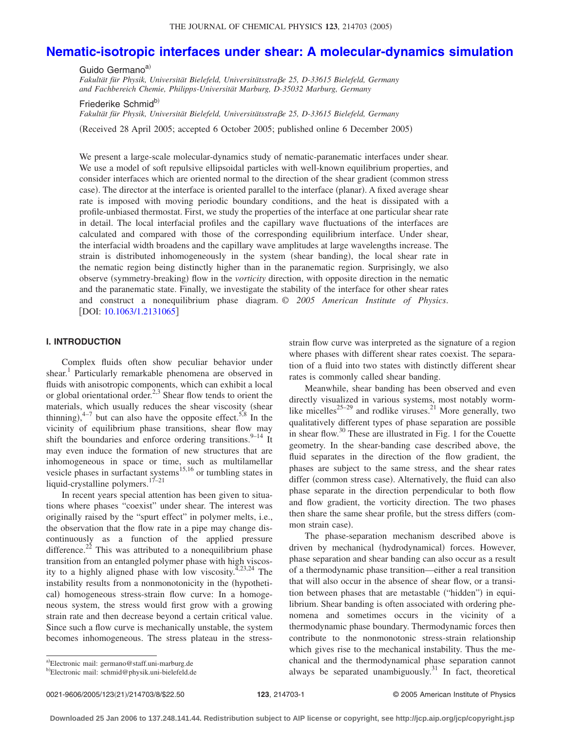# **[Nematic-isotropic interfaces under shear: A molecular-dynamics simulation](http://dx.doi.org/10.1063/1.2131065)**

Guido Germano<sup>a)</sup> *Fakultät für Physik, Universität Bielefeld, Universitätsstrae 25, D-33615 Bielefeld, Germany and Fachbereich Chemie, Philipps-Universität Marburg, D-35032 Marburg, Germany*

Friederike Schmid<sup>b)</sup>

*Fakultät für Physik, Universität Bielefeld, Universitätsstrae 25, D-33615 Bielefeld, Germany*

Received 28 April 2005; accepted 6 October 2005; published online 6 December 2005-

We present a large-scale molecular-dynamics study of nematic-paranematic interfaces under shear. We use a model of soft repulsive ellipsoidal particles with well-known equilibrium properties, and consider interfaces which are oriented normal to the direction of the shear gradient (common stress case). The director at the interface is oriented parallel to the interface (planar). A fixed average shear rate is imposed with moving periodic boundary conditions, and the heat is dissipated with a profile-unbiased thermostat. First, we study the properties of the interface at one particular shear rate in detail. The local interfacial profiles and the capillary wave fluctuations of the interfaces are calculated and compared with those of the corresponding equilibrium interface. Under shear, the interfacial width broadens and the capillary wave amplitudes at large wavelengths increase. The strain is distributed inhomogeneously in the system (shear banding), the local shear rate in the nematic region being distinctly higher than in the paranematic region. Surprisingly, we also observe (symmetry-breaking) flow in the *vorticity* direction, with opposite direction in the nematic and the paranematic state. Finally, we investigate the stability of the interface for other shear rates and construct a nonequilibrium phase diagram. © *2005 American Institute of Physics*. [DOI: [10.1063/1.2131065](http://dx.doi.org/10.1063/1.2131065)]

## **I. INTRODUCTION**

Complex fluids often show peculiar behavior under shear.<sup>1</sup> Particularly remarkable phenomena are observed in fluids with anisotropic components, which can exhibit a local or global orientational order.<sup>2,3</sup> Shear flow tends to orient the materials, which usually reduces the shear viscosity (shear thinning),  $4\frac{1}{2}$  but can also have the opposite effect.<sup>5,8</sup> In the vicinity of equilibrium phase transitions, shear flow may shift the boundaries and enforce ordering transitions.  $9-14$  It may even induce the formation of new structures that are inhomogeneous in space or time, such as multilamellar vesicle phases in surfactant systems<sup>15,16</sup> or tumbling states in liquid-crystalline polymers.<sup>17–21</sup>

In recent years special attention has been given to situations where phases "coexist" under shear. The interest was originally raised by the "spurt effect" in polymer melts, i.e., the observation that the flow rate in a pipe may change discontinuously as a function of the applied pressure difference.<sup>22</sup> This was attributed to a nonequilibrium phase transition from an entangled polymer phase with high viscosity to a highly aligned phase with low viscosity.<sup>4,23,24</sup> The instability results from a nonmonotonicity in the (hypothetical) homogeneous stress-strain flow curve: In a homogeneous system, the stress would first grow with a growing strain rate and then decrease beyond a certain critical value. Since such a flow curve is mechanically unstable, the system becomes inhomogeneous. The stress plateau in the stressstrain flow curve was interpreted as the signature of a region where phases with different shear rates coexist. The separation of a fluid into two states with distinctly different shear rates is commonly called shear banding.

Meanwhile, shear banding has been observed and even directly visualized in various systems, most notably wormlike micelles<sup>25–29</sup> and rodlike viruses.<sup>21</sup> More generally, two qualitatively different types of phase separation are possible in shear flow.<sup>30</sup> These are illustrated in Fig. 1 for the Couette geometry. In the shear-banding case described above, the fluid separates in the direction of the flow gradient, the phases are subject to the same stress, and the shear rates differ (common stress case). Alternatively, the fluid can also phase separate in the direction perpendicular to both flow and flow gradient, the vorticity direction. The two phases then share the same shear profile, but the stress differs (common strain case).

The phase-separation mechanism described above is driven by mechanical (hydrodynamical) forces. However, phase separation and shear banding can also occur as a result of a thermodynamic phase transition—either a real transition that will also occur in the absence of shear flow, or a transition between phases that are metastable ("hidden") in equilibrium. Shear banding is often associated with ordering phenomena and sometimes occurs in the vicinity of a thermodynamic phase boundary. Thermodynamic forces then contribute to the nonmonotonic stress-strain relationship which gives rise to the mechanical instability. Thus the mechanical and the thermodynamical phase separation cannot always be separated unambiguously.<sup>31</sup> In fact, theoretical

a)Electronic mail: germano@staff.uni-marburg.de <sup>b)</sup>Electronic mail: schmid@physik.uni-bielefeld.de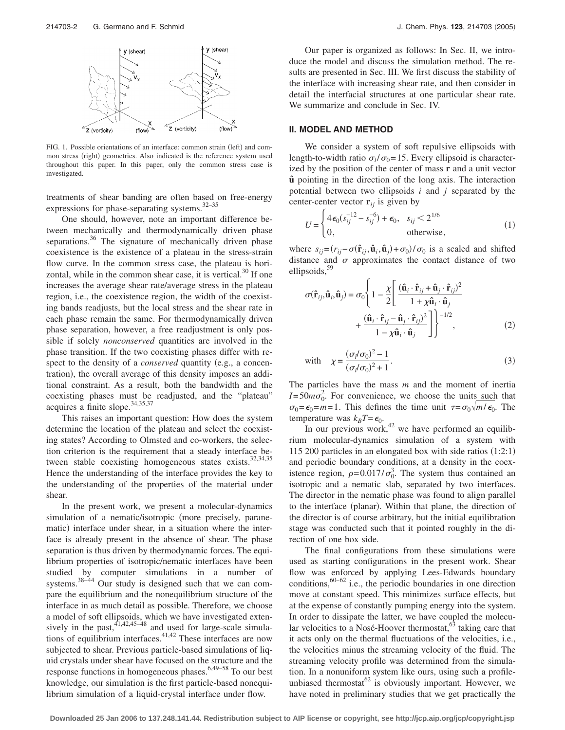

FIG. 1. Possible orientations of an interface: common strain (left) and common stress (right) geometries. Also indicated is the reference system used throughout this paper. In this paper, only the common stress case is investigated.

treatments of shear banding are often based on free-energy expressions for phase-separating systems.32–35

One should, however, note an important difference between mechanically and thermodynamically driven phase separations.<sup>36</sup> The signature of mechanically driven phase coexistence is the existence of a plateau in the stress-strain flow curve. In the common stress case, the plateau is horizontal, while in the common shear case, it is vertical.<sup>30</sup> If one increases the average shear rate/average stress in the plateau region, i.e., the coexistence region, the width of the coexisting bands readjusts, but the local stress and the shear rate in each phase remain the same. For thermodynamically driven phase separation, however, a free readjustment is only possible if solely *nonconserved* quantities are involved in the phase transition. If the two coexisting phases differ with respect to the density of a *conserved* quantity (e.g., a concentration), the overall average of this density imposes an additional constraint. As a result, both the bandwidth and the coexisting phases must be readjusted, and the "plateau" acquires a finite slope.<sup>34,35,37</sup>

This raises an important question: How does the system determine the location of the plateau and select the coexisting states? According to Olmsted and co-workers, the selection criterion is the requirement that a steady interface between stable coexisting homogeneous states exists.<sup>32,34,35</sup> Hence the understanding of the interface provides the key to the understanding of the properties of the material under shear.

In the present work, we present a molecular-dynamics simulation of a nematic/isotropic (more precisely, paranematic) interface under shear, in a situation where the interface is already present in the absence of shear. The phase separation is thus driven by thermodynamic forces. The equilibrium properties of isotropic/nematic interfaces have been studied by computer simulations in a number of systems. $38-44$  Our study is designed such that we can compare the equilibrium and the nonequilibrium structure of the interface in as much detail as possible. Therefore, we choose a model of soft ellipsoids, which we have investigated extensively in the past,  $41,42,45-48$  and used for large-scale simulations of equilibrium interfaces. $41,42$  These interfaces are now subjected to shear. Previous particle-based simulations of liquid crystals under shear have focused on the structure and the response functions in homogeneous phases.<sup>6,49–58</sup> To our best knowledge, our simulation is the first particle-based nonequilibrium simulation of a liquid-crystal interface under flow.

Our paper is organized as follows: In Sec. II, we introduce the model and discuss the simulation method. The results are presented in Sec. III. We first discuss the stability of the interface with increasing shear rate, and then consider in detail the interfacial structures at one particular shear rate. We summarize and conclude in Sec. IV.

### **II. MODEL AND METHOD**

We consider a system of soft repulsive ellipsoids with length-to-width ratio  $\sigma_l / \sigma_0 = 15$ . Every ellipsoid is characterized by the position of the center of mass **r** and a unit vector **uˆ** pointing in the direction of the long axis. The interaction potential between two ellipsoids *i* and *j* separated by the center-center vector  $\mathbf{r}_{ij}$  is given by

$$
U = \begin{cases} 4\,\epsilon_0 (s_{ij}^{-12} - s_{ij}^{-6}) + \epsilon_0, & s_{ij} < 2^{1/6} \\ 0, & \text{otherwise,} \end{cases} \tag{1}
$$

where  $s_{ij} = (r_{ij} - \sigma(\hat{\mathbf{r}}_{ij}, \hat{\mathbf{u}}_i, \hat{\mathbf{u}}_j) + \sigma_0 / \sigma_0$  is a scaled and shifted distance and  $\sigma$  approximates the contact distance of two ellipsoids, $59$ 

$$
\sigma(\hat{\mathbf{r}}_{ij}, \hat{\mathbf{u}}_i, \hat{\mathbf{u}}_j) = \sigma_0 \left\{ 1 - \frac{\chi}{2} \left[ \frac{(\hat{\mathbf{u}}_i \cdot \hat{\mathbf{r}}_{ij} + \hat{\mathbf{u}}_j \cdot \hat{\mathbf{r}}_{ij})^2}{1 + \chi \hat{\mathbf{u}}_i \cdot \hat{\mathbf{u}}_j} + \frac{(\hat{\mathbf{u}}_i \cdot \hat{\mathbf{r}}_{ij} - \hat{\mathbf{u}}_j \cdot \hat{\mathbf{r}}_{ij})^2}{1 - \chi \hat{\mathbf{u}}_i \cdot \hat{\mathbf{u}}_j} \right] \right\}^{-1/2},
$$
\n(2)

with 
$$
\chi = \frac{(\sigma_l/\sigma_0)^2 - 1}{(\sigma_l/\sigma_0)^2 + 1}
$$
. (3)

The particles have the mass *m* and the moment of inertia  $I = 50m\sigma_0^2$ . For convenience, we choose the units such that  $\sigma_0 = \epsilon_0 = m = 1$ . This defines the time unit  $\tau = \sigma_0 \sqrt{m/\epsilon_0}$ . The temperature was  $k_B T = \epsilon_0$ .

In our previous work,  $42$  we have performed an equilibrium molecular-dynamics simulation of a system with 115 200 particles in an elongated box with side ratios  $(1:2:1)$ and periodic boundary conditions, at a density in the coexistence region,  $\rho = 0.017/\sigma_0^3$ . The system thus contained an isotropic and a nematic slab, separated by two interfaces. The director in the nematic phase was found to align parallel to the interface (planar). Within that plane, the direction of the director is of course arbitrary, but the initial equilibration stage was conducted such that it pointed roughly in the direction of one box side.

The final configurations from these simulations were used as starting configurations in the present work. Shear flow was enforced by applying Lees-Edwards boundary conditions,  $60-62$  i.e., the periodic boundaries in one direction move at constant speed. This minimizes surface effects, but at the expense of constantly pumping energy into the system. In order to dissipate the latter, we have coupled the molecular velocities to a Nosé-Hoover thermostat,  $63$  taking care that it acts only on the thermal fluctuations of the velocities, i.e., the velocities minus the streaming velocity of the fluid. The streaming velocity profile was determined from the simulation. In a nonuniform system like ours, using such a profileunbiased thermostat<sup>62</sup> is obviously important. However, we have noted in preliminary studies that we get practically the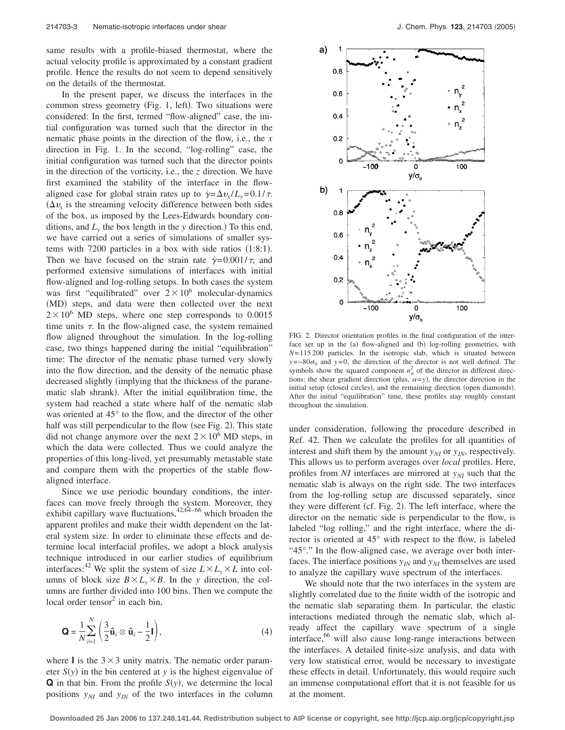same results with a profile-biased thermostat, where the actual velocity profile is approximated by a constant gradient profile. Hence the results do not seem to depend sensitively on the details of the thermostat.

In the present paper, we discuss the interfaces in the common stress geometry (Fig. 1, left). Two situations were considered: In the first, termed "flow-aligned" case, the initial configuration was turned such that the director in the nematic phase points in the direction of the flow, i.e., the *x* direction in Fig. 1. In the second, "log-rolling" case, the initial configuration was turned such that the director points in the direction of the vorticity, i.e., the *z* direction. We have first examined the stability of the interface in the flowaligned case for global strain rates up to  $\dot{\gamma} = \Delta v_x / L_y = 0.1 / \tau$ .  $(\Delta v_x)$  is the streaming velocity difference between both sides of the box, as imposed by the Lees-Edwards boundary conditions, and  $L<sub>y</sub>$  the box length in the *y* direction.) To this end, we have carried out a series of simulations of smaller systems with  $7200$  particles in a box with side ratios  $(1:8:1)$ . Then we have focused on the strain rate  $\dot{\gamma} = 0.001/\tau$ , and performed extensive simulations of interfaces with initial flow-aligned and log-rolling setups. In both cases the system was first "equilibrated" over  $2 \times 10^6$  molecular-dynamics (MD) steps, and data were then collected over the next  $2 \times 10^6$  MD steps, where one step corresponds to 0.0015 time units  $\tau$ . In the flow-aligned case, the system remained flow aligned throughout the simulation. In the log-rolling case, two things happened during the initial "equilibration" time: The director of the nematic phase turned very slowly into the flow direction, and the density of the nematic phase decreased slightly (implying that the thickness of the paranematic slab shrank). After the initial equilibration time, the system had reached a state where half of the nematic slab was oriented at 45° to the flow, and the director of the other half was still perpendicular to the flow (see Fig. 2). This state did not change anymore over the next  $2 \times 10^6$  MD steps, in which the data were collected. Thus we could analyze the properties of this long-lived, yet presumably metastable state and compare them with the properties of the stable flowaligned interface.

Since we use periodic boundary conditions, the interfaces can move freely through the system. Moreover, they exhibit capillary wave fluctuations,  $42,64-66$  which broaden the apparent profiles and make their width dependent on the lateral system size. In order to eliminate these effects and determine local interfacial profiles, we adopt a block analysis technique introduced in our earlier studies of equilibrium interfaces:<sup>42</sup> We split the system of size  $L \times L_v \times L$  into columns of block size  $B \times L_y \times B$ . In the *y* direction, the columns are further divided into 100 bins. Then we compute the local order tensor $2$  in each bin,

$$
\mathbf{Q} = \frac{1}{N} \sum_{i=1}^{N} \left( \frac{3}{2} \hat{\mathbf{u}}_i \otimes \hat{\mathbf{u}}_i - \frac{1}{2} \mathbf{I} \right),
$$
(4)

where **I** is the  $3 \times 3$  unity matrix. The nematic order parameter  $S(y)$  in the bin centered at *y* is the highest eigenvalue of  $\bf{Q}$  in that bin. From the profile  $S(y)$ , we determine the local positions  $y_{NI}$  and  $y_{IN}$  of the two interfaces in the column



FIG. 2. Director orientation profiles in the final configuration of the interface set up in the (a) flow-aligned and (b) log-rolling geometries, with  $N=115200$  particles. In the isotropic slab, which is situated between  $y = -80\sigma_0$  and  $y = 0$ , the direction of the director is not well defined. The symbols show the squared component  $n_{\alpha}^2$  of the director in different directions: the shear gradient direction (plus,  $\alpha = y$ ), the director direction in the initial setup (closed circles), and the remaining direction (open diamonds). After the initial "equilibration" time, these profiles stay roughly constant throughout the simulation.

under consideration, following the procedure described in Ref. 42. Then we calculate the profiles for all quantities of interest and shift them by the amount  $y_{NI}$  or  $y_{IN}$ , respectively. This allows us to perform averages over *local* profiles. Here, profiles from *NI* interfaces are mirrored at  $y_{NI}$  such that the nematic slab is always on the right side. The two interfaces from the log-rolling setup are discussed separately, since they were different (cf. Fig. 2). The left interface, where the director on the nematic side is perpendicular to the flow, is labeled "log rolling," and the right interface, where the director is oriented at 45° with respect to the flow, is labeled "45°." In the flow-aligned case, we average over both interfaces. The interface positions  $y_{IN}$  and  $y_{NI}$  themselves are used to analyze the capillary wave spectrum of the interfaces.

We should note that the two interfaces in the system are slightly correlated due to the finite width of the isotropic and the nematic slab separating them. In particular, the elastic interactions mediated through the nematic slab, which already affect the capillary wave spectrum of a single interface,<sup>66</sup> will also cause long-range interactions between the interfaces. A detailed finite-size analysis, and data with very low statistical error, would be necessary to investigate these effects in detail. Unfortunately, this would require such an immense computational effort that it is not feasible for us at the moment.

**Downloaded 25 Jan 2006 to 137.248.141.44. Redistribution subject to AIP license or copyright, see http://jcp.aip.org/jcp/copyright.jsp**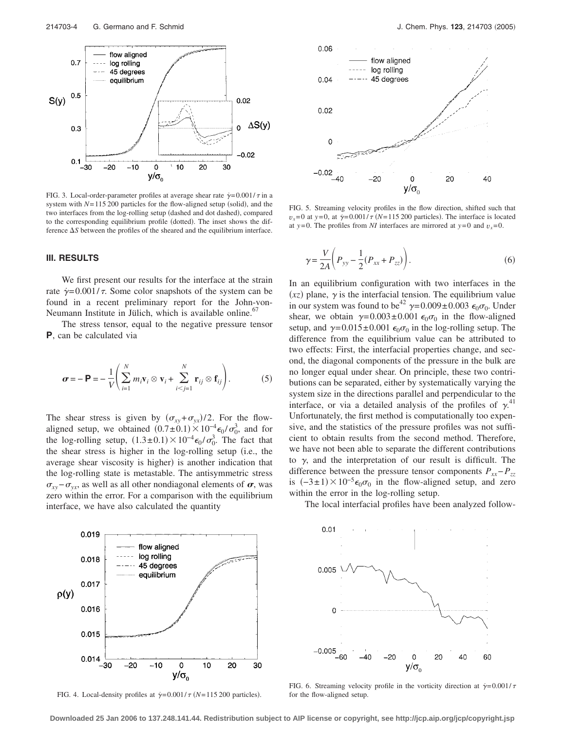

FIG. 3. Local-order-parameter profiles at average shear rate  $\dot{\gamma} = 0.001/\tau$  in a system with  $N=115200$  particles for the flow-aligned setup (solid), and the two interfaces from the log-rolling setup (dashed and dot dashed), compared to the corresponding equilibrium profile (dotted). The inset shows the difference  $\Delta S$  between the profiles of the sheared and the equilibrium interface.

# **III. RESULTS**

We first present our results for the interface at the strain rate  $\dot{\gamma}$ =0.001/ $\tau$ . Some color snapshots of the system can be found in a recent preliminary report for the John-von-Neumann Institute in Jülich, which is available online.<sup>67</sup>

The stress tensor, equal to the negative pressure tensor **P**, can be calculated via

$$
\boldsymbol{\sigma} = -\ \mathbf{P} = -\frac{1}{V} \Bigg( \sum_{i=1}^{N} m_i \mathbf{v}_i \otimes \mathbf{v}_i + \sum_{i < j=1}^{N} \mathbf{r}_{ij} \otimes \mathbf{f}_{ij} \Bigg). \tag{5}
$$

The shear stress is given by  $(\sigma_{xy} + \sigma_{yx})/2$ . For the flowaligned setup, we obtained  $(0.7 \pm 0.1) \times 10^{-4} \epsilon_0 / \sigma_0^3$ , and for the log-rolling setup,  $(1.3\pm0.1)\times10^{-4}\epsilon_0/\sigma_0^3$ . The fact that the shear stress is higher in the log-rolling setup (i.e., the average shear viscosity is higher) is another indication that the log-rolling state is metastable. The antisymmetric stress  $\sigma_{xy}$ − $\sigma_{yx}$ , as well as all other nondiagonal elements of  $\sigma$ , was zero within the error. For a comparison with the equilibrium interface, we have also calculated the quantity



FIG. 4. Local-density profiles at  $\dot{\gamma} = 0.001/\tau$  (N=115 200 particles).



FIG. 5. Streaming velocity profiles in the flow direction, shifted such that  $v_x = 0$  at  $y = 0$ , at  $\dot{y} = 0.001/\tau$  (*N*=115 200 particles). The interface is located at *y*=0. The profiles from *NI* interfaces are mirrored at *y*=0 and  $v_x$ =0.

$$
\gamma = \frac{V}{2A} \left( P_{yy} - \frac{1}{2} (P_{xx} + P_{zz}) \right). \tag{6}
$$

In an equilibrium configuration with two interfaces in the  $(xz)$  plane,  $\gamma$  is the interfacial tension. The equilibrium value in our system was found to be<sup>42</sup>  $\gamma = 0.009 \pm 0.003 \epsilon_0 \sigma_0$ . Under shear, we obtain  $\gamma = 0.003 \pm 0.001 \epsilon_0 \sigma_0$  in the flow-aligned setup, and  $\gamma = 0.015 \pm 0.001 \epsilon_0 \sigma_0$  in the log-rolling setup. The difference from the equilibrium value can be attributed to two effects: First, the interfacial properties change, and second, the diagonal components of the pressure in the bulk are no longer equal under shear. On principle, these two contributions can be separated, either by systematically varying the system size in the directions parallel and perpendicular to the interface, or via a detailed analysis of the profiles of  $\gamma$ <sup>41</sup> Unfortunately, the first method is computationally too expensive, and the statistics of the pressure profiles was not sufficient to obtain results from the second method. Therefore, we have not been able to separate the different contributions to  $\gamma$ , and the interpretation of our result is difficult. The difference between the pressure tensor components  $P_{xx}-P_{zz}$ is  $(-3\pm 1) \times 10^{-5} \epsilon_0 \sigma_0$  in the flow-aligned setup, and zero within the error in the log-rolling setup.

The local interfacial profiles have been analyzed follow-



FIG. 6. Streaming velocity profile in the vorticity direction at  $\dot{\gamma} = 0.001/\tau$ for the flow-aligned setup.

**Downloaded 25 Jan 2006 to 137.248.141.44. Redistribution subject to AIP license or copyright, see http://jcp.aip.org/jcp/copyright.jsp**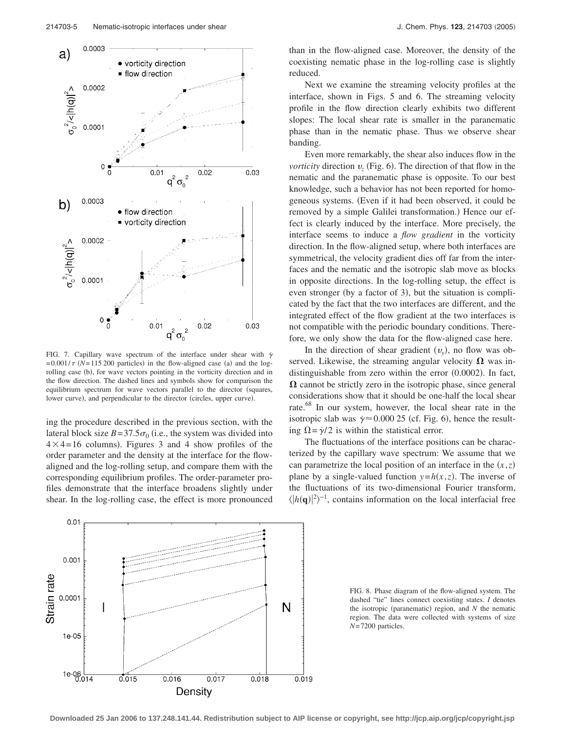

FIG. 7. Capillary wave spectrum of the interface under shear with  $\dot{\gamma}$  $= 0.001/\tau$  (N=115 200 particles) in the flow-aligned case (a) and the logrolling case (b), for wave vectors pointing in the vorticity direction and in the flow direction. The dashed lines and symbols show for comparison the equilibrium spectrum for wave vectors parallel to the director (squares, lower curve), and perpendicular to the director (circles, upper curve).

ing the procedure described in the previous section, with the lateral block size  $B = 37.5\sigma_0$  (i.e., the system was divided into  $4 \times 4 = 16$  columns). Figures 3 and 4 show profiles of the order parameter and the density at the interface for the flowaligned and the log-rolling setup, and compare them with the corresponding equilibrium profiles. The order-parameter profiles demonstrate that the interface broadens slightly under shear. In the log-rolling case, the effect is more pronounced



than in the flow-aligned case. Moreover, the density of the coexisting nematic phase in the log-rolling case is slightly reduced.

Next we examine the streaming velocity profiles at the interface, shown in Figs. 5 and 6. The streaming velocity profile in the flow direction clearly exhibits two different slopes: The local shear rate is smaller in the paranematic phase than in the nematic phase. Thus we observe shear banding.

Even more remarkably, the shear also induces flow in the *vorticity* direction  $v_z$  (Fig. 6). The direction of that flow in the nematic and the paranematic phase is opposite. To our best knowledge, such a behavior has not been reported for homogeneous systems. Even if it had been observed, it could be removed by a simple Galilei transformation.) Hence our effect is clearly induced by the interface. More precisely, the interface seems to induce a *flow gradient* in the vorticity direction. In the flow-aligned setup, where both interfaces are symmetrical, the velocity gradient dies off far from the interfaces and the nematic and the isotropic slab move as blocks in opposite directions. In the log-rolling setup, the effect is even stronger (by a factor of 3), but the situation is complicated by the fact that the two interfaces are different, and the integrated effect of the flow gradient at the two interfaces is not compatible with the periodic boundary conditions. Therefore, we only show the data for the flow-aligned case here.

In the direction of shear gradient  $(v_y)$ , no flow was observed. Likewise, the streaming angular velocity  $\Omega$  was indistinguishable from zero within the error (0.0002). In fact,  $\Omega$  cannot be strictly zero in the isotropic phase, since general considerations show that it should be one-half the local shear rate.<sup>68</sup> In our system, however, the local shear rate in the isotropic slab was  $\dot{\gamma} \approx 0.00025$  (cf. Fig. 6), hence the resulting  $\Omega = \dot{\gamma}/2$  is within the statistical error.

The fluctuations of the interface positions can be characterized by the capillary wave spectrum: We assume that we can parametrize the local position of an interface in the  $(x, z)$ plane by a single-valued function  $y=h(x,z)$ . The inverse of the fluctuations of its two-dimensional Fourier transform,  $\langle |h(\mathbf{q})|^2 \rangle^{-1}$ , contains information on the local interfacial free

FIG. 8. Phase diagram of the flow-aligned system. The dashed "tie" lines connect coexisting states. *I* denotes the isotropic (paranematic) region, and *N* the nematic region. The data were collected with systems of size *N*= 7200 particles.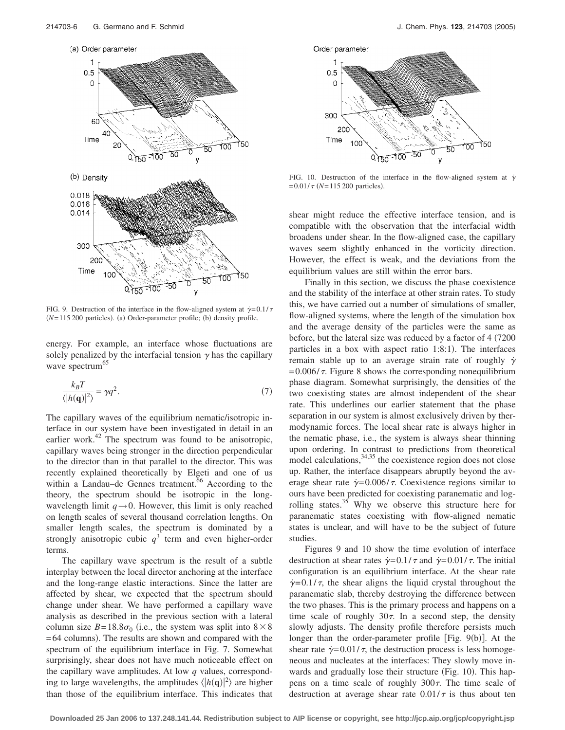

FIG. 9. Destruction of the interface in the flow-aligned system at  $\dot{\gamma} = 0.1/\tau$  $(N=115 200$  particles). (a) Order-parameter profile; (b) density profile.

energy. For example, an interface whose fluctuations are solely penalized by the interfacial tension  $\gamma$  has the capillary wave spectrum<sup>65</sup>

$$
\frac{k_B T}{\langle |h(\mathbf{q})|^2 \rangle} = \gamma q^2. \tag{7}
$$

The capillary waves of the equilibrium nematic/isotropic interface in our system have been investigated in detail in an earlier work. $42$  The spectrum was found to be anisotropic, capillary waves being stronger in the direction perpendicular to the director than in that parallel to the director. This was recently explained theoretically by Elgeti and one of us within a Landau–de Gennes treatment.<sup>66</sup> According to the theory, the spectrum should be isotropic in the longwavelength limit  $q \rightarrow 0$ . However, this limit is only reached on length scales of several thousand correlation lengths. On smaller length scales, the spectrum is dominated by a strongly anisotropic cubic  $q<sup>3</sup>$  term and even higher-order terms.

The capillary wave spectrum is the result of a subtle interplay between the local director anchoring at the interface and the long-range elastic interactions. Since the latter are affected by shear, we expected that the spectrum should change under shear. We have performed a capillary wave analysis as described in the previous section with a lateral column size  $B = 18.8\sigma_0$  (i.e., the system was split into  $8 \times 8$ ) = 64 columns). The results are shown and compared with the spectrum of the equilibrium interface in Fig. 7. Somewhat surprisingly, shear does not have much noticeable effect on the capillary wave amplitudes. At low *q* values, corresponding to large wavelengths, the amplitudes  $\langle |h(\mathbf{q})|^2 \rangle$  are higher than those of the equilibrium interface. This indicates that



FIG. 10. Destruction of the interface in the flow-aligned system at  $\dot{\gamma}$  $= 0.01 / \tau$  (*N*=115 200 particles).

shear might reduce the effective interface tension, and is compatible with the observation that the interfacial width broadens under shear. In the flow-aligned case, the capillary waves seem slightly enhanced in the vorticity direction. However, the effect is weak, and the deviations from the equilibrium values are still within the error bars.

Finally in this section, we discuss the phase coexistence and the stability of the interface at other strain rates. To study this, we have carried out a number of simulations of smaller, flow-aligned systems, where the length of the simulation box and the average density of the particles were the same as before, but the lateral size was reduced by a factor of 4 (7200) particles in a box with aspect ratio 1:8:1). The interfaces remain stable up to an average strain rate of roughly  $\dot{\gamma}$  $= 0.006 / \tau$ . Figure 8 shows the corresponding nonequilibrium phase diagram. Somewhat surprisingly, the densities of the two coexisting states are almost independent of the shear rate. This underlines our earlier statement that the phase separation in our system is almost exclusively driven by thermodynamic forces. The local shear rate is always higher in the nematic phase, i.e., the system is always shear thinning upon ordering. In contrast to predictions from theoretical model calculations,  $34,35$  the coexistence region does not close up. Rather, the interface disappears abruptly beyond the average shear rate  $\dot{\gamma}$ =0.006/ $\tau$ . Coexistence regions similar to ours have been predicted for coexisting paranematic and logrolling states.<sup>35</sup> Why we observe this structure here for paranematic states coexisting with flow-aligned nematic states is unclear, and will have to be the subject of future studies.

Figures 9 and 10 show the time evolution of interface destruction at shear rates  $\dot{\gamma} = 0.1/\tau$  and  $\dot{\gamma} = 0.01/\tau$ . The initial configuration is an equilibrium interface. At the shear rate  $\dot{\gamma}$ =0.1/ $\tau$ , the shear aligns the liquid crystal throughout the paranematic slab, thereby destroying the difference between the two phases. This is the primary process and happens on a time scale of roughly  $30\tau$ . In a second step, the density slowly adjusts. The density profile therefore persists much longer than the order-parameter profile [Fig. 9(b)]. At the shear rate  $\dot{\gamma}$ =0.01/ $\tau$ , the destruction process is less homogeneous and nucleates at the interfaces: They slowly move inwards and gradually lose their structure (Fig. 10). This happens on a time scale of roughly  $300\tau$ . The time scale of destruction at average shear rate  $0.01/\tau$  is thus about ten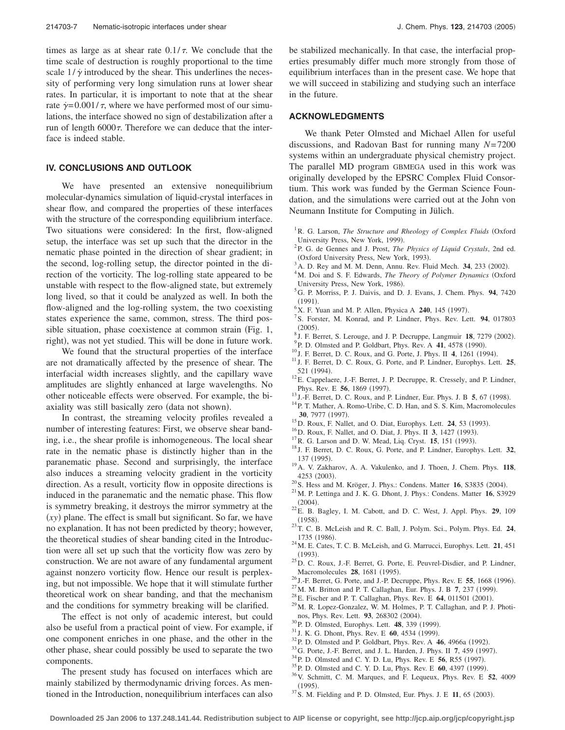times as large as at shear rate  $0.1/\tau$ . We conclude that the time scale of destruction is roughly proportional to the time scale  $1/\gamma$  introduced by the shear. This underlines the necessity of performing very long simulation runs at lower shear rates. In particular, it is important to note that at the shear rate  $\dot{\gamma}$  = 0.001/ $\tau$ , where we have performed most of our simulations, the interface showed no sign of destabilization after a run of length  $6000\tau$ . Therefore we can deduce that the interface is indeed stable.

## **IV. CONCLUSIONS AND OUTLOOK**

We have presented an extensive nonequilibrium molecular-dynamics simulation of liquid-crystal interfaces in shear flow, and compared the properties of these interfaces with the structure of the corresponding equilibrium interface. Two situations were considered: In the first, flow-aligned setup, the interface was set up such that the director in the nematic phase pointed in the direction of shear gradient; in the second, log-rolling setup, the director pointed in the direction of the vorticity. The log-rolling state appeared to be unstable with respect to the flow-aligned state, but extremely long lived, so that it could be analyzed as well. In both the flow-aligned and the log-rolling system, the two coexisting states experience the same, common, stress. The third possible situation, phase coexistence at common strain (Fig. 1, right), was not yet studied. This will be done in future work.

We found that the structural properties of the interface are not dramatically affected by the presence of shear. The interfacial width increases slightly, and the capillary wave amplitudes are slightly enhanced at large wavelengths. No other noticeable effects were observed. For example, the biaxiality was still basically zero (data not shown).

In contrast, the streaming velocity profiles revealed a number of interesting features: First, we observe shear banding, i.e., the shear profile is inhomogeneous. The local shear rate in the nematic phase is distinctly higher than in the paranematic phase. Second and surprisingly, the interface also induces a streaming velocity gradient in the vorticity direction. As a result, vorticity flow in opposite directions is induced in the paranematic and the nematic phase. This flow is symmetry breaking, it destroys the mirror symmetry at the  $(xy)$  plane. The effect is small but significant. So far, we have no explanation. It has not been predicted by theory; however, the theoretical studies of shear banding cited in the Introduction were all set up such that the vorticity flow was zero by construction. We are not aware of any fundamental argument against nonzero vorticity flow. Hence our result is perplexing, but not impossible. We hope that it will stimulate further theoretical work on shear banding, and that the mechanism and the conditions for symmetry breaking will be clarified.

The effect is not only of academic interest, but could also be useful from a practical point of view. For example, if one component enriches in one phase, and the other in the other phase, shear could possibly be used to separate the two components.

The present study has focused on interfaces which are mainly stabilized by thermodynamic driving forces. As mentioned in the Introduction, nonequilibrium interfaces can also be stabilized mechanically. In that case, the interfacial properties presumably differ much more strongly from those of equilibrium interfaces than in the present case. We hope that we will succeed in stabilizing and studying such an interface in the future.

### **ACKNOWLEDGMENTS**

We thank Peter Olmsted and Michael Allen for useful discussions, and Radovan Bast for running many *N*= 7200 systems within an undergraduate physical chemistry project. The parallel MD program GBMEGA used in this work was originally developed by the EPSRC Complex Fluid Consortium. This work was funded by the German Science Foundation, and the simulations were carried out at the John von Neumann Institute for Computing in Jülich.

- <sup>1</sup> R. G. Larson, *The Structure and Rheology of Complex Fluids* (Oxford University Press, New York, 1999).<br><sup>2</sup> B. G. de Gennes and L. Prest. The
- P. G. de Gennes and J. Prost, *The Physics of Liquid Crystals*, 2nd ed. (Oxford University Press, New York, 1993).
- $A^3$  A. D. Rey and M. M. Denn, Annu. Rev. Fluid Mech. **34**, 233 (2002).
- <sup>4</sup>M. Doi and S. F. Edwards, *The Theory of Polymer Dynamics* (Oxford University Press, New York, 1986).<br> ${}^{5}C_{\cdot}$  P Morriss, P J Doivis, and D
- G. P. Morriss, P. J. Daivis, and D. J. Evans, J. Chem. Phys. **94**, 7420  $^{(1991)}_{6\,\mathbf{v}}$
- <sup>6</sup>X. F. Yuan and M. P. Allen, Physica A **240**, 145 (1997).
- <sup>7</sup> S. Forster, M. Konrad, and P. Lindner, Phys. Rev. Lett. **94**, 017803  $(2005).$
- <sup>8</sup> J. F. Berret, S. Lerouge, and J. P. Decruppe, Langmuir **18**, 7279 (2002).
- <sup>9</sup> P. D. Olmsted and P. Goldbart, Phys. Rev. A 41, 4578 (1990).
- <sup>10</sup> J. F. Berret, D. C. Roux, and G. Porte, J. Phys. II **4**, 1261 (1994).
- <sup>11</sup> J. F. Berret, D. C. Roux, G. Porte, and P. Lindner, Europhys. Lett. 25, 521 (1994).
- <sup>12</sup>E. Cappelaere, J.-F. Berret, J. P. Decruppe, R. Cressely, and P. Lindner, Phys. Rev. E 56, 1869 (1997).
- <sup>13</sup> J.-F. Berret, D. C. Roux, and P. Lindner, Eur. Phys. J. B **5**, 67 (1998).
- <sup>14</sup>P. T. Mather, A. Romo-Uribe, C. D. Han, and S. S. Kim, Macromolecules **30.** 7977 (1997).
- <sup>15</sup> D. Roux, F. Nallet, and O. Diat, Europhys. Lett. **24**, 53 (1993).
- <sup>16</sup> D. Roux, F. Nallet, and O. Diat, J. Phys. II **3**, 1427 (1993).
- <sup>17</sup> R. G. Larson and D. W. Mead, Liq. Cryst. **15**, 151 (1993).
- . <sup>18</sup> J. F. Berret, D. C. Roux, G. Porte, and P. Lindner, Europhys. Lett. **<sup>32</sup>**, 137 (1995).
- . 19A. V. Zakharov, A. A. Vakulenko, and J. Thoen, J. Chem. Phys. **<sup>118</sup>**, 4253 (2003).
- <sup>20</sup> S. Hess and M. Kröger, J. Phys.: Condens. Matter **16**, S3835 (2004).
- . 21M. P. Lettinga and J. K. G. Dhont, J. Phys.: Condens. Matter **<sup>16</sup>**, S3929  $(2004).$
- . 22E. B. Bagley, I. M. Cabott, and D. C. West, J. Appl. Phys. **<sup>29</sup>**, 109  $(1958).$
- . 23T. C. B. McLeish and R. C. Ball, J. Polym. Sci., Polym. Phys. Ed. **<sup>24</sup>**, 1735 (1986).
- . 24M. E. Cates, T. C. B. McLeish, and G. Marrucci, Europhys. Lett. **<sup>21</sup>**, 451  $(1993).$
- $^{25}$ D. C. Roux, J.-F. Berret, G. Porte, E. Peuvrel-Disdier, and P. Lindner, Macromolecules **28**, 1681 (1995).
- <sup>26</sup> J.-F. Berret, G. Porte, and J.-P. Decruppe, Phys. Rev. E **55**, 1668 (1996).
- <sup>27</sup> M. M. Britton and P. T. Callaghan, Eur. Phys. J. B **7**, 237 (1999).
- <sup>28</sup>E. Fischer and P. T. Callaghan, Phys. Rev. E **64**, 011501 (2001).
- <sup>29</sup> M. R. Lopez-Gonzalez, W. M. Holmes, P. T. Callaghan, and P. J. Photinos, Phys. Rev. Lett. **93**, 268302 (2004).
- <sup>30</sup> P. D. Olmsted, Europhys. Lett. **48**, 339 (1999).
- <sup>31</sup> J. K. G. Dhont, Phys. Rev. E **60**, 4534 (1999).
- <sup>32</sup> P. D. Olmsted and P. Goldbart, Phys. Rev. A **46**, 4966a (1992).
- <sup>33</sup> G. Porte, J.-F. Berret, and J. L. Harden, J. Phys. II **7**, 459 (1997).
- <sup>34</sup> P. D. Olmsted and C. Y. D. Lu, Phys. Rev. E **56**, R55 (1997).
- <sup>35</sup> P. D. Olmsted and C. Y. D. Lu, Phys. Rev. E **60**, 4397 (1999).
- . 36V. Schmitt, C. M. Marques, and F. Lequeux, Phys. Rev. E **<sup>52</sup>**, 4009  $(1995).$
- (1995).<br><sup>37</sup> S. M. Fielding and P. D. Olmsted, Eur. Phys. J. E **11**, 65 (2003).